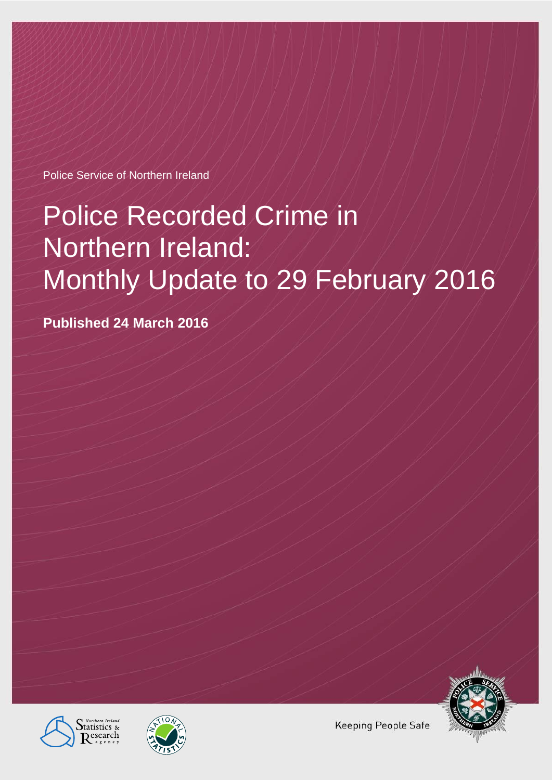Police Service of Northern Ireland

# Police Recorded Crime in Northern Ireland: Monthly Update to 29 February 2016

**Published 24 March 2016**







**Keeping People Safe**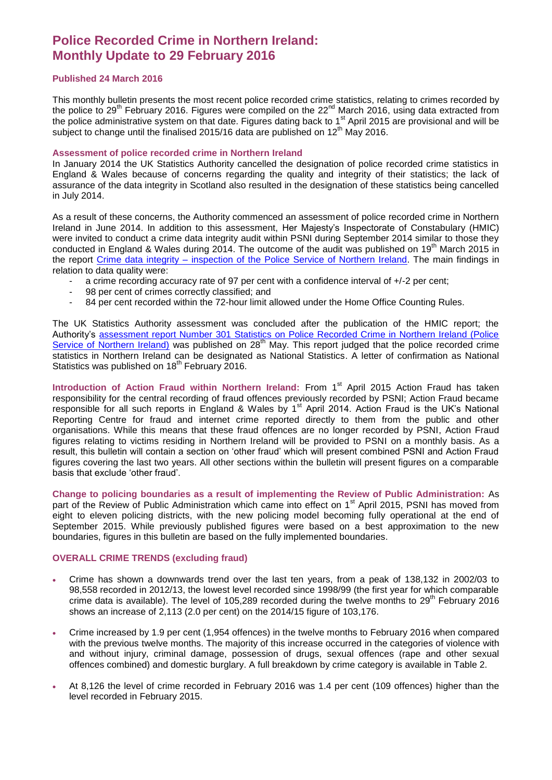# **Police Recorded Crime in Northern Ireland: Monthly Update to 29 February 2016**

# **Published 24 March 2016**

This monthly bulletin presents the most recent police recorded crime statistics, relating to crimes recorded by the police to 29<sup>th</sup> February 2016. Figures were compiled on the 22<sup>nd</sup> March 2016, using data extracted from the police administrative system on that date. Figures dating back to 1<sup>st</sup> April 2015 are provisional and will be subject to change until the finalised 2015/16 data are published on 12<sup>th</sup> May 2016.

#### **Assessment of police recorded crime in Northern Ireland**

In January 2014 the UK Statistics Authority cancelled the designation of police recorded crime statistics in England & Wales because of concerns regarding the quality and integrity of their statistics; the lack of assurance of the data integrity in Scotland also resulted in the designation of these statistics being cancelled in July 2014.

As a result of these concerns, the Authority commenced an assessment of police recorded crime in Northern Ireland in June 2014. In addition to this assessment, Her Majesty's Inspectorate of Constabulary (HMIC) were invited to conduct a crime data integrity audit within PSNI during September 2014 similar to those they conducted in England & Wales during 2014. The outcome of the audit was published on 19<sup>th</sup> March 2015 in the report Crime data integrity – [inspection of the Police Service of Northern Ireland.](https://www.justiceinspectorates.gov.uk/hmic/publication/crime-data-integrity-inspection-of-the-police-service-of-northern-ireland/) The main findings in relation to data quality were:

- a crime recording accuracy rate of 97 per cent with a confidence interval of +/-2 per cent;
- 98 per cent of crimes correctly classified; and
- 84 per cent recorded within the 72-hour limit allowed under the Home Office Counting Rules.

The UK Statistics Authority assessment was concluded after the publication of the HMIC report; the Authority's [assessment report Number 301 Statistics on Police Recorded Crime in Northern Ireland \(Police](http://www.statisticsauthority.gov.uk/assessment/assessment/assessment-reports/index.html)  [Service of Northern Ireland\)](http://www.statisticsauthority.gov.uk/assessment/assessment/assessment-reports/index.html) was published on 28<sup>th</sup> May. This report judged that the police recorded crime statistics in Northern Ireland can be designated as National Statistics. A letter of confirmation as National Statistics was published on 18<sup>th</sup> February 2016.

Introduction of Action Fraud within Northern Ireland: From 1<sup>st</sup> April 2015 Action Fraud has taken responsibility for the central recording of fraud offences previously recorded by PSNI; Action Fraud became responsible for all such reports in England & Wales by  $1<sup>st</sup>$  April 2014. Action Fraud is the UK's National Reporting Centre for fraud and internet crime reported directly to them from the public and other organisations. While this means that these fraud offences are no longer recorded by PSNI, Action Fraud figures relating to victims residing in Northern Ireland will be provided to PSNI on a monthly basis. As a result, this bulletin will contain a section on 'other fraud' which will present combined PSNI and Action Fraud figures covering the last two years. All other sections within the bulletin will present figures on a comparable basis that exclude 'other fraud'.

**Change to policing boundaries as a result of implementing the Review of Public Administration:** As part of the Review of Public Administration which came into effect on 1<sup>st</sup> April 2015, PSNI has moved from eight to eleven policing districts, with the new policing model becoming fully operational at the end of September 2015. While previously published figures were based on a best approximation to the new boundaries, figures in this bulletin are based on the fully implemented boundaries.

#### **OVERALL CRIME TRENDS (excluding fraud)**

- Crime has shown a downwards trend over the last ten years, from a peak of 138,132 in 2002/03 to 98,558 recorded in 2012/13, the lowest level recorded since 1998/99 (the first year for which comparable crime data is available). The level of 105,289 recorded during the twelve months to  $29<sup>th</sup>$  February 2016 shows an increase of 2,113 (2.0 per cent) on the 2014/15 figure of 103,176.
- Crime increased by 1.9 per cent (1,954 offences) in the twelve months to February 2016 when compared with the previous twelve months. The majority of this increase occurred in the categories of violence with and without injury, criminal damage, possession of drugs, sexual offences (rape and other sexual offences combined) and domestic burglary. A full breakdown by crime category is available in Table 2.
- At 8,126 the level of crime recorded in February 2016 was 1.4 per cent (109 offences) higher than the level recorded in February 2015.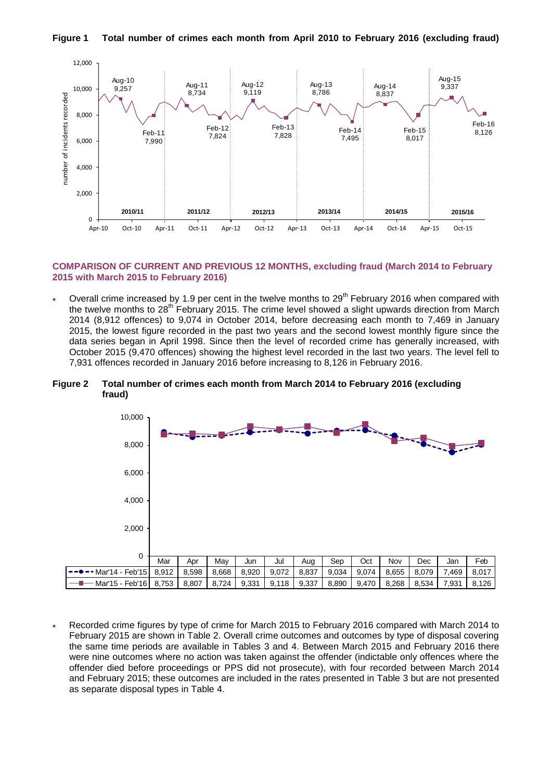

#### **Figure 1 Total number of crimes each month from April 2010 to February 2016 (excluding fraud)**

#### **COMPARISON OF CURRENT AND PREVIOUS 12 MONTHS, excluding fraud (March 2014 to February 2015 with March 2015 to February 2016)**

Overall crime increased by 1.9 per cent in the twelve months to  $29<sup>th</sup>$  February 2016 when compared with the twelve months to  $28<sup>th</sup>$  February 2015. The crime level showed a slight upwards direction from March 2014 (8,912 offences) to 9,074 in October 2014, before decreasing each month to 7,469 in January 2015, the lowest figure recorded in the past two years and the second lowest monthly figure since the data series began in April 1998. Since then the level of recorded crime has generally increased, with October 2015 (9,470 offences) showing the highest level recorded in the last two years. The level fell to 7,931 offences recorded in January 2016 before increasing to 8,126 in February 2016.

#### **Figure 2 Total number of crimes each month from March 2014 to February 2016 (excluding fraud)**



 Recorded crime figures by type of crime for March 2015 to February 2016 compared with March 2014 to February 2015 are shown in Table 2. Overall crime outcomes and outcomes by type of disposal covering the same time periods are available in Tables 3 and 4. Between March 2015 and February 2016 there were nine outcomes where no action was taken against the offender (indictable only offences where the offender died before proceedings or PPS did not prosecute), with four recorded between March 2014 and February 2015; these outcomes are included in the rates presented in Table 3 but are not presented as separate disposal types in Table 4.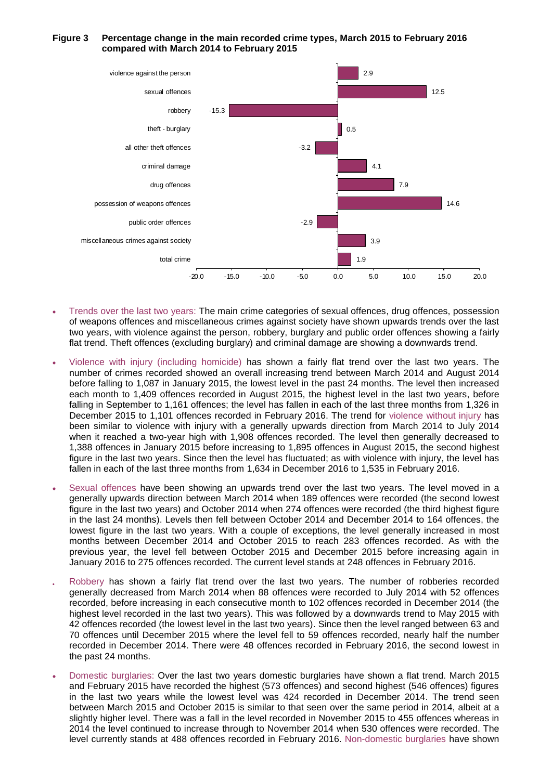#### **Figure 3 Percentage change in the main recorded crime types, March 2015 to February 2016 compared with March 2014 to February 2015**



- Trends over the last two years: The main crime categories of sexual offences, drug offences, possession of weapons offences and miscellaneous crimes against society have shown upwards trends over the last two years, with violence against the person, robbery, burglary and public order offences showing a fairly flat trend. Theft offences (excluding burglary) and criminal damage are showing a downwards trend.
- Violence with injury (including homicide) has shown a fairly flat trend over the last two years. The number of crimes recorded showed an overall increasing trend between March 2014 and August 2014 before falling to 1,087 in January 2015, the lowest level in the past 24 months. The level then increased each month to 1,409 offences recorded in August 2015, the highest level in the last two years, before falling in September to 1,161 offences; the level has fallen in each of the last three months from 1,326 in December 2015 to 1,101 offences recorded in February 2016. The trend for violence without injury has been similar to violence with injury with a generally upwards direction from March 2014 to July 2014 when it reached a two-year high with 1,908 offences recorded. The level then generally decreased to 1,388 offences in January 2015 before increasing to 1,895 offences in August 2015, the second highest figure in the last two years. Since then the level has fluctuated; as with violence with injury, the level has fallen in each of the last three months from 1,634 in December 2016 to 1,535 in February 2016.
- Sexual offences have been showing an upwards trend over the last two years. The level moved in a generally upwards direction between March 2014 when 189 offences were recorded (the second lowest figure in the last two years) and October 2014 when 274 offences were recorded (the third highest figure in the last 24 months). Levels then fell between October 2014 and December 2014 to 164 offences, the lowest figure in the last two years. With a couple of exceptions, the level generally increased in most months between December 2014 and October 2015 to reach 283 offences recorded. As with the previous year, the level fell between October 2015 and December 2015 before increasing again in January 2016 to 275 offences recorded. The current level stands at 248 offences in February 2016.
- Robbery has shown a fairly flat trend over the last two years. The number of robberies recorded generally decreased from March 2014 when 88 offences were recorded to July 2014 with 52 offences recorded, before increasing in each consecutive month to 102 offences recorded in December 2014 (the highest level recorded in the last two years). This was followed by a downwards trend to May 2015 with 42 offences recorded (the lowest level in the last two years). Since then the level ranged between 63 and 70 offences until December 2015 where the level fell to 59 offences recorded, nearly half the number recorded in December 2014. There were 48 offences recorded in February 2016, the second lowest in the past 24 months.
- Domestic burglaries: Over the last two years domestic burglaries have shown a flat trend. March 2015 and February 2015 have recorded the highest (573 offences) and second highest (546 offences) figures in the last two years while the lowest level was 424 recorded in December 2014. The trend seen between March 2015 and October 2015 is similar to that seen over the same period in 2014, albeit at a slightly higher level. There was a fall in the level recorded in November 2015 to 455 offences whereas in 2014 the level continued to increase through to November 2014 when 530 offences were recorded. The level currently stands at 488 offences recorded in February 2016. Non-domestic burglaries have shown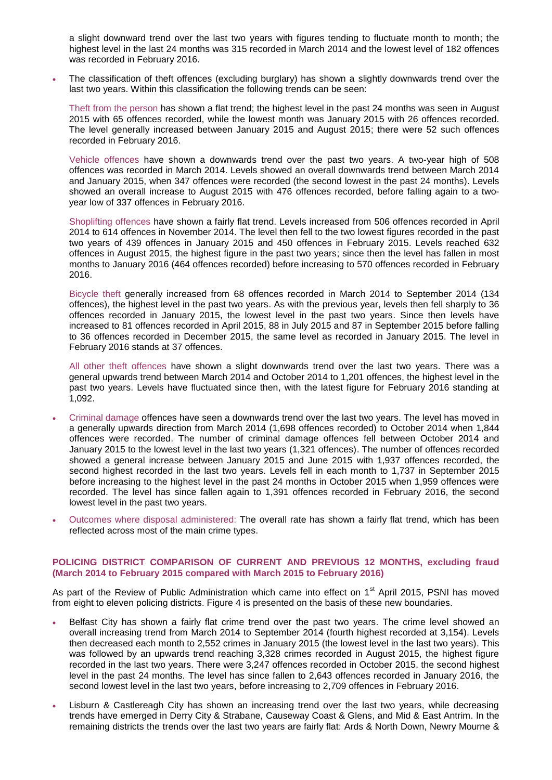a slight downward trend over the last two years with figures tending to fluctuate month to month; the highest level in the last 24 months was 315 recorded in March 2014 and the lowest level of 182 offences was recorded in February 2016.

 The classification of theft offences (excluding burglary) has shown a slightly downwards trend over the last two years. Within this classification the following trends can be seen:

Theft from the person has shown a flat trend; the highest level in the past 24 months was seen in August 2015 with 65 offences recorded, while the lowest month was January 2015 with 26 offences recorded. The level generally increased between January 2015 and August 2015; there were 52 such offences recorded in February 2016.

Vehicle offences have shown a downwards trend over the past two years. A two-year high of 508 offences was recorded in March 2014. Levels showed an overall downwards trend between March 2014 and January 2015, when 347 offences were recorded (the second lowest in the past 24 months). Levels showed an overall increase to August 2015 with 476 offences recorded, before falling again to a twoyear low of 337 offences in February 2016.

Shoplifting offences have shown a fairly flat trend. Levels increased from 506 offences recorded in April 2014 to 614 offences in November 2014. The level then fell to the two lowest figures recorded in the past two years of 439 offences in January 2015 and 450 offences in February 2015. Levels reached 632 offences in August 2015, the highest figure in the past two years; since then the level has fallen in most months to January 2016 (464 offences recorded) before increasing to 570 offences recorded in February 2016.

Bicycle theft generally increased from 68 offences recorded in March 2014 to September 2014 (134 offences), the highest level in the past two years. As with the previous year, levels then fell sharply to 36 offences recorded in January 2015, the lowest level in the past two years. Since then levels have increased to 81 offences recorded in April 2015, 88 in July 2015 and 87 in September 2015 before falling to 36 offences recorded in December 2015, the same level as recorded in January 2015. The level in February 2016 stands at 37 offences.

All other theft offences have shown a slight downwards trend over the last two years. There was a general upwards trend between March 2014 and October 2014 to 1,201 offences, the highest level in the past two years. Levels have fluctuated since then, with the latest figure for February 2016 standing at 1,092.

- Criminal damage offences have seen a downwards trend over the last two years. The level has moved in a generally upwards direction from March 2014 (1,698 offences recorded) to October 2014 when 1,844 offences were recorded. The number of criminal damage offences fell between October 2014 and January 2015 to the lowest level in the last two years (1,321 offences). The number of offences recorded showed a general increase between January 2015 and June 2015 with 1,937 offences recorded, the second highest recorded in the last two years. Levels fell in each month to 1,737 in September 2015 before increasing to the highest level in the past 24 months in October 2015 when 1,959 offences were recorded. The level has since fallen again to 1,391 offences recorded in February 2016, the second lowest level in the past two years.
- Outcomes where disposal administered: The overall rate has shown a fairly flat trend, which has been reflected across most of the main crime types.

#### **POLICING DISTRICT COMPARISON OF CURRENT AND PREVIOUS 12 MONTHS, excluding fraud (March 2014 to February 2015 compared with March 2015 to February 2016)**

As part of the Review of Public Administration which came into effect on 1<sup>st</sup> April 2015, PSNI has moved from eight to eleven policing districts. Figure 4 is presented on the basis of these new boundaries.

- Belfast City has shown a fairly flat crime trend over the past two years. The crime level showed an overall increasing trend from March 2014 to September 2014 (fourth highest recorded at 3,154). Levels then decreased each month to 2,552 crimes in January 2015 (the lowest level in the last two years). This was followed by an upwards trend reaching 3,328 crimes recorded in August 2015, the highest figure recorded in the last two years. There were 3,247 offences recorded in October 2015, the second highest level in the past 24 months. The level has since fallen to 2,643 offences recorded in January 2016, the second lowest level in the last two years, before increasing to 2,709 offences in February 2016.
- Lisburn & Castlereagh City has shown an increasing trend over the last two years, while decreasing trends have emerged in Derry City & Strabane, Causeway Coast & Glens, and Mid & East Antrim. In the remaining districts the trends over the last two years are fairly flat: Ards & North Down, Newry Mourne &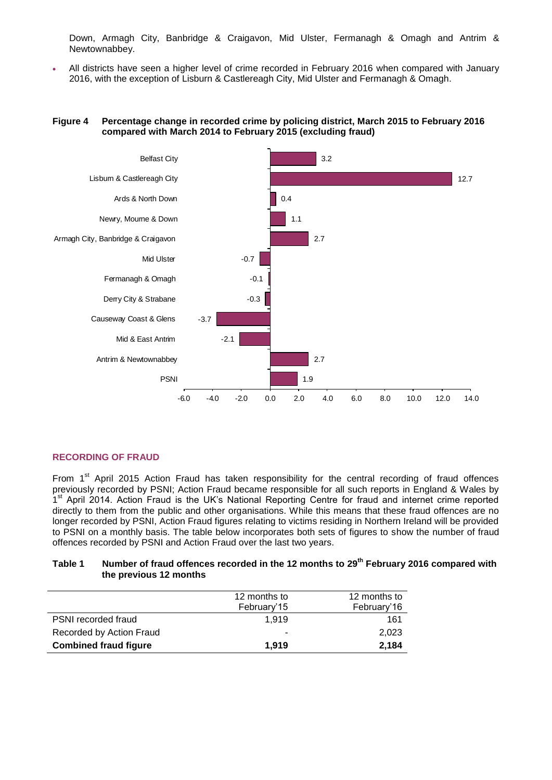Down, Armagh City, Banbridge & Craigavon, Mid Ulster, Fermanagh & Omagh and Antrim & Newtownabbey.

 All districts have seen a higher level of crime recorded in February 2016 when compared with January 2016, with the exception of Lisburn & Castlereagh City, Mid Ulster and Fermanagh & Omagh.

# **Figure 4 Percentage change in recorded crime by policing district, March 2015 to February 2016 compared with March 2014 to February 2015 (excluding fraud)**



# **RECORDING OF FRAUD**

From  $1<sup>st</sup>$  April 2015 Action Fraud has taken responsibility for the central recording of fraud offences previously recorded by PSNI; Action Fraud became responsible for all such reports in England & Wales by 1<sup>st</sup> April 2014. Action Fraud is the UK's National Reporting Centre for fraud and internet crime reported directly to them from the public and other organisations. While this means that these fraud offences are no longer recorded by PSNI, Action Fraud figures relating to victims residing in Northern Ireland will be provided to PSNI on a monthly basis. The table below incorporates both sets of figures to show the number of fraud offences recorded by PSNI and Action Fraud over the last two years.

# **Table 1 Number of fraud offences recorded in the 12 months to 29th February 2016 compared with the previous 12 months**

|                              | 12 months to<br>February'15 | 12 months to<br>February'16 |
|------------------------------|-----------------------------|-----------------------------|
| <b>PSNI</b> recorded fraud   | 1.919                       | 161                         |
| Recorded by Action Fraud     | ۰                           | 2,023                       |
| <b>Combined fraud figure</b> | 1.919                       | 2,184                       |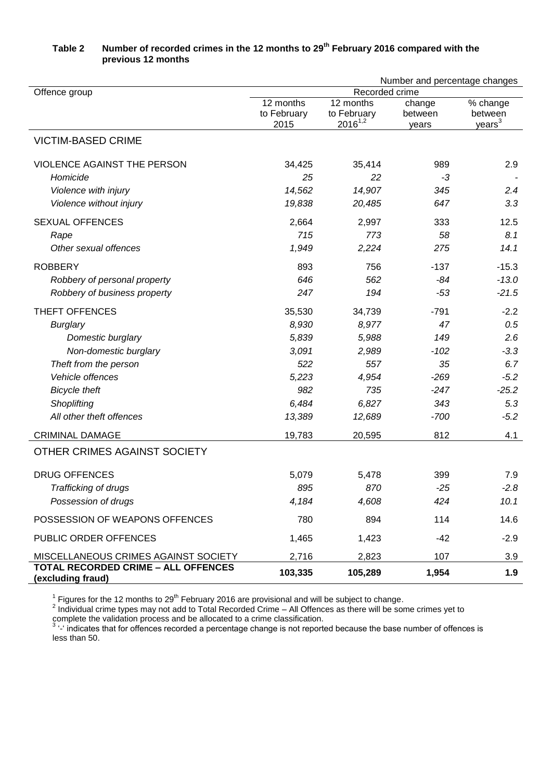|                                                          | Number and percentage changes |                             |                  |                               |  |  |
|----------------------------------------------------------|-------------------------------|-----------------------------|------------------|-------------------------------|--|--|
| Offence group                                            | Recorded crime                |                             |                  |                               |  |  |
|                                                          | 12 months                     | 12 months                   | change           | % change                      |  |  |
|                                                          | to February<br>2015           | to February<br>$2016^{1,2}$ | between<br>years | between<br>years <sup>3</sup> |  |  |
| <b>VICTIM-BASED CRIME</b>                                |                               |                             |                  |                               |  |  |
| VIOLENCE AGAINST THE PERSON                              | 34,425                        | 35,414                      | 989              | 2.9                           |  |  |
| Homicide                                                 | 25                            | 22                          | -3               |                               |  |  |
| Violence with injury                                     | 14,562                        | 14,907                      | 345              | 2.4                           |  |  |
| Violence without injury                                  | 19,838                        | 20,485                      | 647              | 3.3                           |  |  |
| <b>SEXUAL OFFENCES</b>                                   | 2,664                         | 2,997                       | 333              | 12.5                          |  |  |
| Rape                                                     | 715                           | 773                         | 58               | 8.1                           |  |  |
| Other sexual offences                                    | 1,949                         | 2,224                       | 275              | 14.1                          |  |  |
| <b>ROBBERY</b>                                           | 893                           | 756                         | $-137$           | $-15.3$                       |  |  |
| Robbery of personal property                             | 646                           | 562                         | $-84$            | $-13.0$                       |  |  |
| Robbery of business property                             | 247                           | 194                         | $-53$            | $-21.5$                       |  |  |
| THEFT OFFENCES                                           | 35,530                        | 34,739                      | $-791$           | $-2.2$                        |  |  |
| <b>Burglary</b>                                          | 8,930                         | 8,977                       | 47               | 0.5                           |  |  |
| Domestic burglary                                        | 5,839                         | 5,988                       | 149              | 2.6                           |  |  |
| Non-domestic burglary                                    | 3,091                         | 2,989                       | $-102$           | $-3.3$                        |  |  |
| Theft from the person                                    | 522                           | 557                         | 35               | 6.7                           |  |  |
| Vehicle offences                                         | 5,223                         | 4,954                       | $-269$           | $-5.2$                        |  |  |
| <b>Bicycle theft</b>                                     | 982                           | 735                         | $-247$           | $-25.2$                       |  |  |
| Shoplifting                                              | 6,484                         | 6,827                       | 343              | 5.3                           |  |  |
| All other theft offences                                 | 13,389                        | 12,689                      | $-700$           | $-5.2$                        |  |  |
| <b>CRIMINAL DAMAGE</b>                                   | 19,783                        | 20,595                      | 812              | 4.1                           |  |  |
| OTHER CRIMES AGAINST SOCIETY                             |                               |                             |                  |                               |  |  |
| <b>DRUG OFFENCES</b>                                     | 5,079                         | 5,478                       | 399              | 7.9                           |  |  |
| Trafficking of drugs                                     | 895                           | 870                         | $-25$            | $-2.8$                        |  |  |
| Possession of drugs                                      | 4,184                         | 4,608                       | 424              | 10.1                          |  |  |
| POSSESSION OF WEAPONS OFFENCES                           | 780                           | 894                         | 114              | 14.6                          |  |  |
| PUBLIC ORDER OFFENCES                                    | 1,465                         | 1,423                       | -42              | $-2.9$                        |  |  |
| MISCELLANEOUS CRIMES AGAINST SOCIETY                     | 2,716                         | 2,823                       | 107              | 3.9                           |  |  |
| TOTAL RECORDED CRIME - ALL OFFENCES<br>(excluding fraud) | 103,335                       | 105,289                     | 1,954            | 1.9                           |  |  |

# **Table 2 Number of recorded crimes in the 12 months to 29th February 2016 compared with the previous 12 months**

<sup>1</sup> Figures for the 12 months to 29<sup>th</sup> February 2016 are provisional and will be subject to change.<br><sup>2</sup> Individual crime types may not add to Total Recorded Crime – All Offences as there will be some crimes yet to

complete the validation process and be allocated to a crime classification.<br><sup>3</sup> '-' indicates that for offences recorded a percentage change is not reported because the base number of offences is less than 50.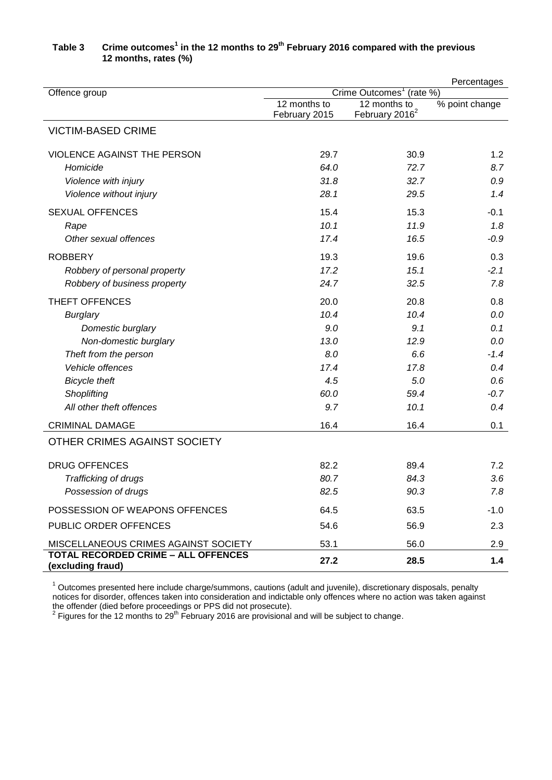|                                                          | Percentages                          |                            |                |  |  |
|----------------------------------------------------------|--------------------------------------|----------------------------|----------------|--|--|
| Offence group                                            | Crime Outcomes <sup>1</sup> (rate %) |                            |                |  |  |
|                                                          | 12 months to                         | $\overline{12}$ months to  | % point change |  |  |
|                                                          | February 2015                        | February 2016 <sup>2</sup> |                |  |  |
| <b>VICTIM-BASED CRIME</b>                                |                                      |                            |                |  |  |
| VIOLENCE AGAINST THE PERSON                              | 29.7                                 | 30.9                       | 1.2            |  |  |
| Homicide                                                 | 64.0                                 | 72.7                       | 8.7            |  |  |
| Violence with injury                                     | 31.8                                 | 32.7                       | 0.9            |  |  |
| Violence without injury                                  | 28.1                                 | 29.5                       | 1.4            |  |  |
| <b>SEXUAL OFFENCES</b>                                   | 15.4                                 | 15.3                       | $-0.1$         |  |  |
| Rape                                                     | 10.1                                 | 11.9                       | 1.8            |  |  |
| Other sexual offences                                    | 17.4                                 | 16.5                       | $-0.9$         |  |  |
| <b>ROBBERY</b>                                           | 19.3                                 | 19.6                       | 0.3            |  |  |
| Robbery of personal property                             | 17.2                                 | 15.1                       | $-2.1$         |  |  |
| Robbery of business property                             | 24.7                                 | 32.5                       | 7.8            |  |  |
| THEFT OFFENCES                                           | 20.0                                 | 20.8                       | 0.8            |  |  |
| <b>Burglary</b>                                          | 10.4                                 | 10.4                       | 0.0            |  |  |
| Domestic burglary                                        | 9.0                                  | 9.1                        | 0.1            |  |  |
| Non-domestic burglary                                    | 13.0                                 | 12.9                       | 0.0            |  |  |
| Theft from the person                                    | 8.0                                  | 6.6                        | $-1.4$         |  |  |
| Vehicle offences                                         | 17.4                                 | 17.8                       | 0.4            |  |  |
| <b>Bicycle theft</b>                                     | 4.5                                  | 5.0                        | 0.6            |  |  |
| Shoplifting                                              | 60.0                                 | 59.4                       | $-0.7$         |  |  |
| All other theft offences                                 | 9.7                                  | 10.1                       | 0.4            |  |  |
| <b>CRIMINAL DAMAGE</b>                                   | 16.4                                 | 16.4                       | 0.1            |  |  |
| OTHER CRIMES AGAINST SOCIETY                             |                                      |                            |                |  |  |
| <b>DRUG OFFENCES</b>                                     | 82.2                                 | 89.4                       | 7.2            |  |  |
| Trafficking of drugs                                     | 80.7                                 | 84.3                       | 3.6            |  |  |
| Possession of drugs                                      | 82.5                                 | 90.3                       | 7.8            |  |  |
| POSSESSION OF WEAPONS OFFENCES                           | 64.5                                 | 63.5                       | $-1.0$         |  |  |
| PUBLIC ORDER OFFENCES                                    | 54.6                                 | 56.9                       | 2.3            |  |  |
| MISCELLANEOUS CRIMES AGAINST SOCIETY                     | 53.1                                 | 56.0                       | 2.9            |  |  |
| TOTAL RECORDED CRIME - ALL OFFENCES<br>(excluding fraud) | 27.2                                 | 28.5                       | 1.4            |  |  |

# **Table 3 Crime outcomes<sup>1</sup> in the 12 months to 29th February 2016 compared with the previous 12 months, rates (%)**

 $1$  Outcomes presented here include charge/summons, cautions (adult and juvenile), discretionary disposals, penalty notices for disorder, offences taken into consideration and indictable only offences where no action was taken against the offender (died before proceedings or PPS did not prosecute).<br><sup>2</sup> Figures for the 12 months to 29<sup>th</sup> February 2016 are provisional and will be subject to change.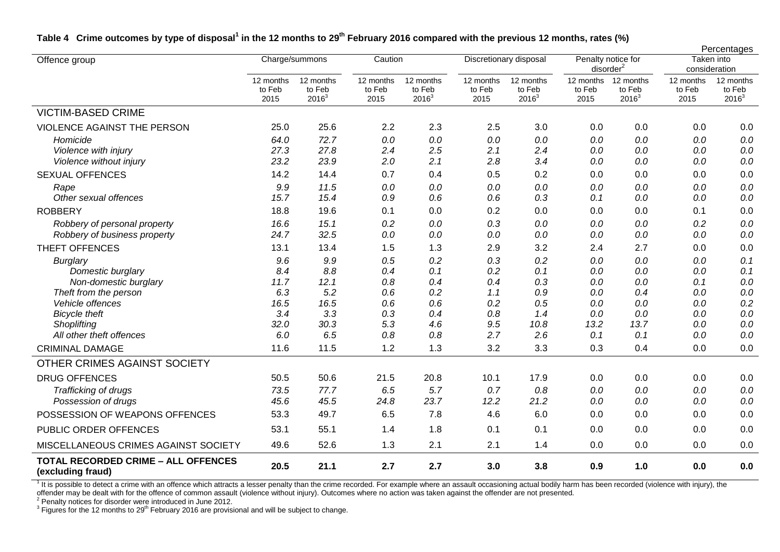|                                                                 |                             |                                 |                             |                                 |                             |                                 |                                             |                                 |                             | Percentages                     |
|-----------------------------------------------------------------|-----------------------------|---------------------------------|-----------------------------|---------------------------------|-----------------------------|---------------------------------|---------------------------------------------|---------------------------------|-----------------------------|---------------------------------|
| Offence group                                                   |                             | Charge/summons                  | Caution                     |                                 | Discretionary disposal      |                                 | Penalty notice for<br>disorder <sup>2</sup> |                                 | Taken into<br>consideration |                                 |
|                                                                 | 12 months<br>to Feb<br>2015 | 12 months<br>to Feb<br>$2016^3$ | 12 months<br>to Feb<br>2015 | 12 months<br>to Feb<br>$2016^3$ | 12 months<br>to Feb<br>2015 | 12 months<br>to Feb<br>$2016^3$ | 12 months<br>to Feb<br>2015                 | 12 months<br>to Feb<br>$2016^3$ | 12 months<br>to Feb<br>2015 | 12 months<br>to Feb<br>$2016^3$ |
| <b>VICTIM-BASED CRIME</b>                                       |                             |                                 |                             |                                 |                             |                                 |                                             |                                 |                             |                                 |
| <b>VIOLENCE AGAINST THE PERSON</b>                              | 25.0                        | 25.6                            | 2.2                         | 2.3                             | 2.5                         | 3.0                             | 0.0                                         | 0.0                             | 0.0                         | 0.0                             |
| Homicide                                                        | 64.0                        | 72.7                            | 0.0                         | 0.0                             | 0.0                         | $0.0\,$                         | 0.0                                         | 0.0                             | 0.0                         | $0.0\,$                         |
| Violence with injury                                            | 27.3                        | 27.8                            | 2.4                         | 2.5                             | 2.1                         | 2.4                             | 0.0                                         | 0.0                             | 0.0                         | $0.0\,$                         |
| Violence without injury                                         | 23.2                        | 23.9                            | 2.0                         | 2.1                             | 2.8                         | 3.4                             | 0.0                                         | 0.0                             | 0.0                         | $0.0\,$                         |
| <b>SEXUAL OFFENCES</b>                                          | 14.2                        | 14.4                            | 0.7                         | 0.4                             | 0.5                         | 0.2                             | 0.0                                         | 0.0                             | 0.0                         | 0.0                             |
| Rape                                                            | 9.9                         | 11.5                            | 0.0                         | 0.0                             | 0.0                         | 0.0                             | 0.0                                         | 0.0                             | 0.0                         | 0.0                             |
| Other sexual offences                                           | 15.7                        | 15.4                            | 0.9                         | 0.6                             | 0.6                         | 0.3                             | 0.1                                         | 0.0                             | 0.0                         | $0.0\,$                         |
| <b>ROBBERY</b>                                                  | 18.8                        | 19.6                            | 0.1                         | 0.0                             | 0.2                         | 0.0                             | 0.0                                         | 0.0                             | 0.1                         | 0.0                             |
| Robbery of personal property                                    | 16.6                        | 15.1                            | 0.2                         | 0.0                             | 0.3                         | 0.0                             | 0.0                                         | 0.0                             | 0.2                         | $0.0\,$                         |
| Robbery of business property                                    | 24.7                        | 32.5                            | 0.0                         | 0.0                             | 0.0                         | 0.0                             | 0.0                                         | 0.0                             | 0.0                         | $0.0\,$                         |
| THEFT OFFENCES                                                  | 13.1                        | 13.4                            | 1.5                         | 1.3                             | 2.9                         | 3.2                             | 2.4                                         | 2.7                             | 0.0                         | $0.0\,$                         |
| <b>Burglary</b>                                                 | 9.6                         | 9.9                             | 0.5                         | 0.2                             | 0.3                         | 0.2                             | 0.0                                         | 0.0                             | 0.0                         | 0.1                             |
| Domestic burglary                                               | 8.4                         | 8.8                             | 0.4                         | 0.1                             | 0.2                         | 0.1                             | 0.0                                         | 0.0                             | 0.0                         | 0.1                             |
| Non-domestic burglary                                           | 11.7                        | 12.1                            | 0.8                         | 0.4                             | 0.4                         | 0.3                             | 0.0                                         | 0.0                             | 0.1                         | $0.0\,$                         |
| Theft from the person                                           | 6.3                         | 5.2                             | 0.6                         | 0.2                             | 1.1                         | 0.9                             | 0.0                                         | 0.4                             | 0.0                         | 0.0                             |
| Vehicle offences                                                | 16.5                        | 16.5                            | 0.6                         | 0.6                             | 0.2                         | 0.5                             | 0.0                                         | 0.0                             | 0.0                         | 0.2                             |
| <b>Bicycle theft</b>                                            | 3.4                         | 3.3                             | 0.3                         | 0.4                             | 0.8                         | 1.4                             | 0.0                                         | 0.0                             | 0.0                         | $0.0\,$                         |
| Shoplifting                                                     | 32.0                        | 30.3                            | 5.3                         | 4.6                             | 9.5                         | 10.8                            | 13.2                                        | 13.7                            | 0.0                         | 0.0                             |
| All other theft offences                                        | 6.0                         | 6.5                             | 0.8                         | 0.8                             | 2.7                         | 2.6                             | 0.1                                         | 0.1                             | 0.0                         | $0.0\,$                         |
| <b>CRIMINAL DAMAGE</b>                                          | 11.6                        | 11.5                            | 1.2                         | 1.3                             | 3.2                         | 3.3                             | 0.3                                         | 0.4                             | 0.0                         | 0.0                             |
| OTHER CRIMES AGAINST SOCIETY                                    |                             |                                 |                             |                                 |                             |                                 |                                             |                                 |                             |                                 |
| <b>DRUG OFFENCES</b>                                            | 50.5                        | 50.6                            | 21.5                        | 20.8                            | 10.1                        | 17.9                            | 0.0                                         | 0.0                             | 0.0                         | 0.0                             |
| Trafficking of drugs                                            | 73.5                        | 77.7                            | 6.5                         | 5.7                             | 0.7                         | 0.8                             | 0.0                                         | 0.0                             | 0.0                         | 0.0                             |
| Possession of drugs                                             | 45.6                        | 45.5                            | 24.8                        | 23.7                            | 12.2                        | 21.2                            | 0.0                                         | 0.0                             | 0.0                         | 0.0                             |
| POSSESSION OF WEAPONS OFFENCES                                  | 53.3                        | 49.7                            | 6.5                         | 7.8                             | 4.6                         | 6.0                             | 0.0                                         | 0.0                             | 0.0                         | 0.0                             |
| PUBLIC ORDER OFFENCES                                           | 53.1                        | 55.1                            | 1.4                         | 1.8                             | 0.1                         | 0.1                             | 0.0                                         | 0.0                             | 0.0                         | 0.0                             |
| MISCELLANEOUS CRIMES AGAINST SOCIETY                            | 49.6                        | 52.6                            | 1.3                         | 2.1                             | 2.1                         | 1.4                             | 0.0                                         | 0.0                             | 0.0                         | 0.0                             |
| <b>TOTAL RECORDED CRIME - ALL OFFENCES</b><br>(excluding fraud) | 20.5                        | 21.1                            | 2.7                         | 2.7                             | 3.0                         | 3.8                             | 0.9                                         | 1.0                             | 0.0                         | 0.0                             |

# **Table 4 Crime outcomes by type of disposal<sup>1</sup> in the 12 months to 29th February 2016 compared with the previous 12 months, rates (%)**

It is possible to detect a crime with an offence which attracts a lesser penalty than the crime recorded. For example where an assault occasioning actual bodily harm has been recorded (violence with injury), the offender may be dealt with for the offence of common assault (violence without injury). Outcomes where no action was taken against the offender are not presented.<br><sup>2</sup> Penalty notices for disorder were introduced in June 20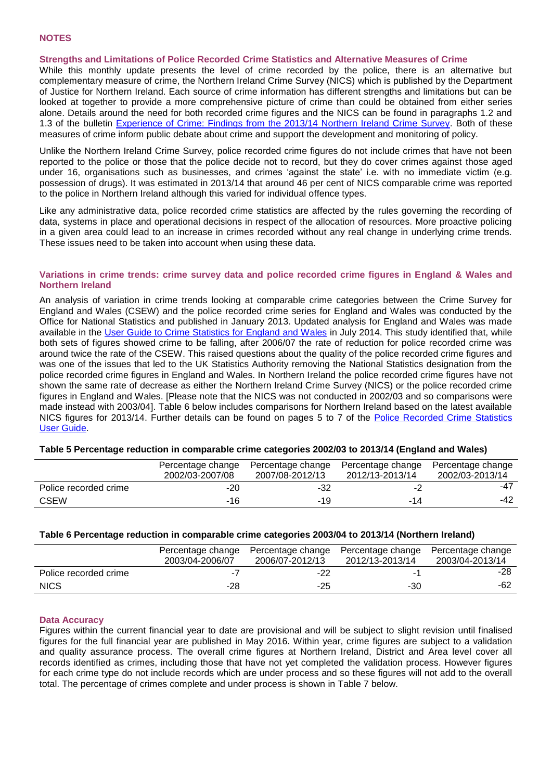#### **Strengths and Limitations of Police Recorded Crime Statistics and Alternative Measures of Crime**

While this monthly update presents the level of crime recorded by the police, there is an alternative but complementary measure of crime, the Northern Ireland Crime Survey (NICS) which is published by the Department of Justice for Northern Ireland. Each source of crime information has different strengths and limitations but can be looked at together to provide a more comprehensive picture of crime than could be obtained from either series alone. Details around the need for both recorded crime figures and the NICS can be found in paragraphs 1.2 and 1.3 of the bulletin [Experience of Crime: Findings from the 2013/14 Northern Ireland Crime Survey.](https://www.dojni.gov.uk/publications/r-s-bulletin-12015-experience-crime-findings-201314-northern-ireland-crime-survey) Both of these measures of crime inform public debate about crime and support the development and monitoring of policy.

Unlike the Northern Ireland Crime Survey, police recorded crime figures do not include crimes that have not been reported to the police or those that the police decide not to record, but they do cover crimes against those aged under 16, organisations such as businesses, and crimes 'against the state' i.e. with no immediate victim (e.g. possession of drugs). It was estimated in 2013/14 that around 46 per cent of NICS comparable crime was reported to the police in Northern Ireland although this varied for individual offence types.

Like any administrative data, police recorded crime statistics are affected by the rules governing the recording of data, systems in place and operational decisions in respect of the allocation of resources. More proactive policing in a given area could lead to an increase in crimes recorded without any real change in underlying crime trends. These issues need to be taken into account when using these data.

#### **Variations in crime trends: crime survey data and police recorded crime figures in England & Wales and Northern Ireland**

An analysis of variation in crime trends looking at comparable crime categories between the Crime Survey for England and Wales (CSEW) and the police recorded crime series for England and Wales was conducted by the Office for National Statistics and published in January 2013. Updated analysis for England and Wales was made available in the [User Guide to Crime Statistics for England and Wales](http://www.ons.gov.uk/ons/guide-method/method-quality/specific/crime-statistics-methodology/user-guides/index.html) in July 2014. This study identified that, while both sets of figures showed crime to be falling, after 2006/07 the rate of reduction for police recorded crime was around twice the rate of the CSEW. This raised questions about the quality of the police recorded crime figures and was one of the issues that led to the UK Statistics Authority removing the National Statistics designation from the police recorded crime figures in England and Wales. In Northern Ireland the police recorded crime figures have not shown the same rate of decrease as either the Northern Ireland Crime Survey (NICS) or the police recorded crime figures in England and Wales. [Please note that the NICS was not conducted in 2002/03 and so comparisons were made instead with 2003/04]. Table 6 below includes comparisons for Northern Ireland based on the latest available NICS figures for 2013/14. Further details can be found on pages 5 to 7 of the [Police Recorded Crime Statistics](https://www.psni.police.uk/globalassets/inside-the-psni/our-statistics/police-recorded-crime-statistics/documents/user_guide.pdf)  [User Guide.](https://www.psni.police.uk/globalassets/inside-the-psni/our-statistics/police-recorded-crime-statistics/documents/user_guide.pdf)

#### **Table 5 Percentage reduction in comparable crime categories 2002/03 to 2013/14 (England and Wales)**

|                       | Percentage change<br>2002/03-2007/08 | Percentage change<br>2007/08-2012/13 | Percentage change<br>2012/13-2013/14 | Percentage change<br>2002/03-2013/14 |
|-----------------------|--------------------------------------|--------------------------------------|--------------------------------------|--------------------------------------|
| Police recorded crime | -20                                  | -32                                  |                                      | -47                                  |
| <b>CSEW</b>           | -16                                  | -19                                  | -14                                  | -42                                  |

#### **Table 6 Percentage reduction in comparable crime categories 2003/04 to 2013/14 (Northern Ireland)**

|                       | Percentage change<br>2003/04-2006/07 | Percentage change<br>2006/07-2012/13 | Percentage change<br>2012/13-2013/14 | Percentage change<br>2003/04-2013/14 |
|-----------------------|--------------------------------------|--------------------------------------|--------------------------------------|--------------------------------------|
| Police recorded crime |                                      | $-22$                                |                                      | -28                                  |
| <b>NICS</b>           | -28                                  | -25                                  | -30                                  | -62                                  |

#### **Data Accuracy**

Figures within the current financial year to date are provisional and will be subject to slight revision until finalised figures for the full financial year are published in May 2016. Within year, crime figures are subject to a validation and quality assurance process. The overall crime figures at Northern Ireland, District and Area level cover all records identified as crimes, including those that have not yet completed the validation process. However figures for each crime type do not include records which are under process and so these figures will not add to the overall total. The percentage of crimes complete and under process is shown in Table 7 below.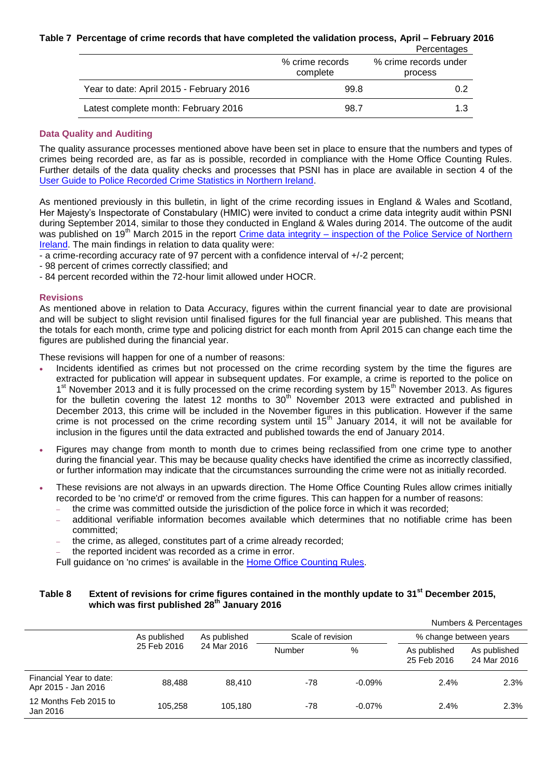#### **Table 7 Percentage of crime records that have completed the validation process, April – February 2016**

|                                          | % crime records<br>complete | r vrvomagov<br>% crime records under<br>process |  |
|------------------------------------------|-----------------------------|-------------------------------------------------|--|
| Year to date: April 2015 - February 2016 | 99.8                        | 0.2                                             |  |
| Latest complete month: February 2016     | 98.7                        | 1.3                                             |  |

Percentages

#### **Data Quality and Auditing**

The quality assurance processes mentioned above have been set in place to ensure that the numbers and types of crimes being recorded are, as far as is possible, recorded in compliance with the Home Office Counting Rules. Further details of the data quality checks and processes that PSNI has in place are available in section 4 of the [User Guide to Police Recorded Crime Statistics in Northern Ireland.](https://www.psni.police.uk/globalassets/inside-the-psni/our-statistics/police-recorded-crime-statistics/documents/user_guide.pdf)

As mentioned previously in this bulletin, in light of the crime recording issues in England & Wales and Scotland, Her Majesty's Inspectorate of Constabulary (HMIC) were invited to conduct a crime data integrity audit within PSNI during September 2014, similar to those they conducted in England & Wales during 2014. The outcome of the audit was published on 19<sup>th</sup> March 2015 in the report Crime data integrity – inspection of the Police Service of Northern [Ireland.](https://www.justiceinspectorates.gov.uk/hmic/publication/crime-data-integrity-inspection-of-the-police-service-of-northern-ireland/) The main findings in relation to data quality were:

- a crime-recording accuracy rate of 97 percent with a confidence interval of +/-2 percent;

- 98 percent of crimes correctly classified; and
- 84 percent recorded within the 72-hour limit allowed under HOCR.

#### **Revisions**

As mentioned above in relation to Data Accuracy, figures within the current financial year to date are provisional and will be subject to slight revision until finalised figures for the full financial year are published. This means that the totals for each month, crime type and policing district for each month from April 2015 can change each time the figures are published during the financial year.

These revisions will happen for one of a number of reasons:

- Incidents identified as crimes but not processed on the crime recording system by the time the figures are extracted for publication will appear in subsequent updates. For example, a crime is reported to the police on 1<sup>st</sup> November 2013 and it is fully processed on the crime recording system by 15<sup>th</sup> November 2013. As figures for the bulletin covering the latest 12 months to 30<sup>th</sup> November 2013 were extracted and published in December 2013, this crime will be included in the November figures in this publication. However if the same crime is not processed on the crime recording system until 15<sup>th</sup> January 2014, it will not be available for inclusion in the figures until the data extracted and published towards the end of January 2014.
- Figures may change from month to month due to crimes being reclassified from one crime type to another during the financial year. This may be because quality checks have identified the crime as incorrectly classified, or further information may indicate that the circumstances surrounding the crime were not as initially recorded.
- These revisions are not always in an upwards direction. The Home Office Counting Rules allow crimes initially recorded to be 'no crime'd' or removed from the crime figures. This can happen for a number of reasons:
	- the crime was committed outside the jurisdiction of the police force in which it was recorded;
	- additional verifiable information becomes available which determines that no notifiable crime has been committed;
	- the crime, as alleged, constitutes part of a crime already recorded;

the reported incident was recorded as a crime in error.

Full guidance on 'no crimes' is available in the [Home Office Counting Rules.](https://www.gov.uk/government/publications/counting-rules-for-recorded-crime)

# **Table 8 Extent of revisions for crime figures contained in the monthly update to 31st December 2015, which was first published 28th January 2016**

|                                                |              |                                   |        |                        |                             | Numbers & Percentages       |
|------------------------------------------------|--------------|-----------------------------------|--------|------------------------|-----------------------------|-----------------------------|
|                                                | As published | Scale of revision<br>As published |        | % change between years |                             |                             |
|                                                | 25 Feb 2016  | 24 Mar 2016                       | Number | %                      | As published<br>25 Feb 2016 | As published<br>24 Mar 2016 |
| Financial Year to date:<br>Apr 2015 - Jan 2016 | 88.488       | 88.410                            | -78    | $-0.09%$               | 2.4%                        | 2.3%                        |
| 12 Months Feb 2015 to<br>Jan 2016              | 105,258      | 105.180                           | -78    | $-0.07\%$              | 2.4%                        | 2.3%                        |